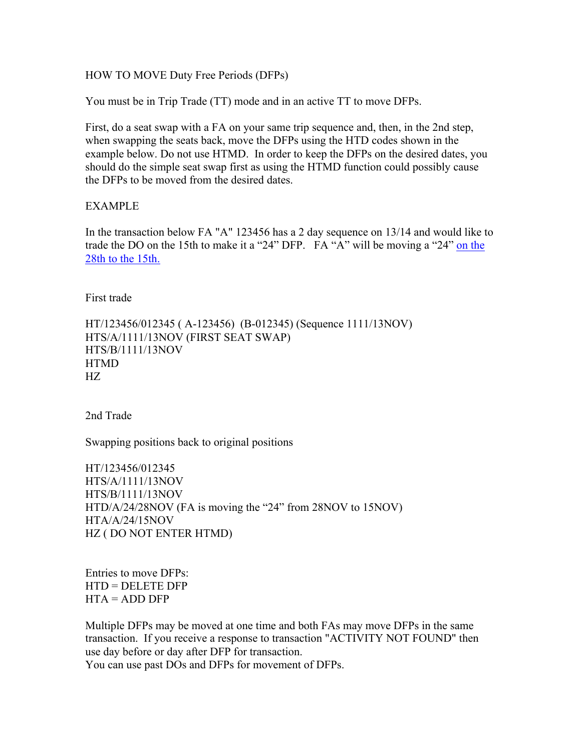## HOW TO MOVE Duty Free Periods (DFPs)

You must be in Trip Trade (TT) mode and in an active TT to move DFPs.

First, do a seat swap with a FA on your same trip sequence and, then, in the 2nd step, when swapping the seats back, move the DFPs using the HTD codes shown in the example below. Do not use HTMD. In order to keep the DFPs on the desired dates, you should do the simple seat swap first as using the HTMD function could possibly cause the DFPs to be moved from the desired dates.

## EXAMPLE

In the transaction below FA "A" 123456 has a 2 day sequence on 13/14 and would like to trade the DO on the 15th to make it a "24" DFP. FA "A" will be moving a "24" on the 28th to the 15th.

First trade

HT/123456/012345 ( A-123456) (B-012345) (Sequence 1111/13NOV) HTS/A/1111/13NOV (FIRST SEAT SWAP) HTS/B/1111/13NOV HTMD HZ

2nd Trade

Swapping positions back to original positions

HT/123456/012345 HTS/A/1111/13NOV HTS/B/1111/13NOV HTD/A/24/28NOV (FA is moving the "24" from 28NOV to 15NOV) HTA/A/24/15NOV HZ ( DO NOT ENTER HTMD)

Entries to move DFPs: HTD = DELETE DFP  $HTA = ADD DFP$ 

Multiple DFPs may be moved at one time and both FAs may move DFPs in the same transaction. If you receive a response to transaction "ACTIVITY NOT FOUND" then use day before or day after DFP for transaction.

You can use past DOs and DFPs for movement of DFPs.